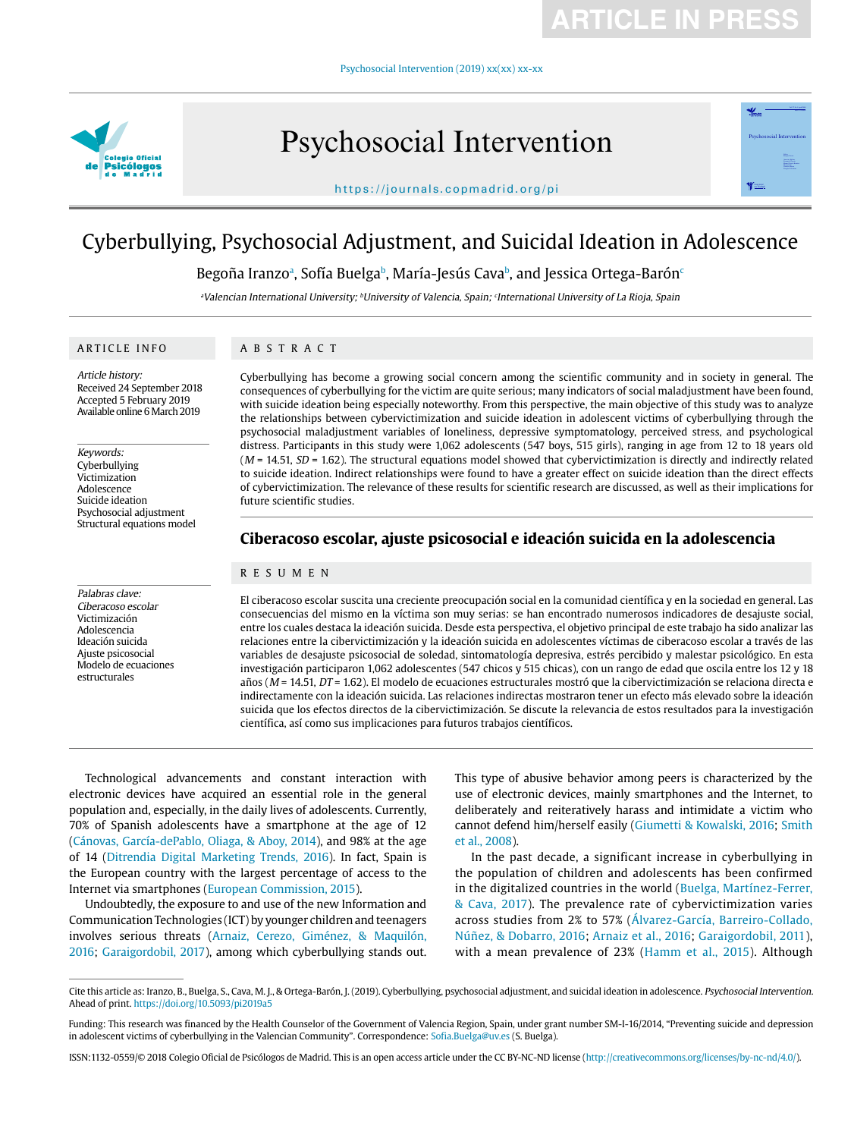Psychosocial Intervention (2019) xx(xx) xx-xx



# Psychosocial Intervention



https://journals.copmadrid.org/pi

# Cyberbullying, Psychosocial Adjustment, and Suicidal Ideation in Adolescence

Begoña Iranzoª, Sofía Buelgaʰ, María-Jesús Cavaʰ, and Jessica Ortega-Barón<sup>c</sup>

aValencian International University; bUniversity of Valencia, Spain; fInternational University of La Rioja, Spain

# ARTICLE INFO

Article history: Received 24 September 2018 Accepted 5 February 2019 Available online 6 March 2019

Keywords: Cyberbullying Victimization Adolescence Suicide ideation Psychosocial adjustment Structural equations model

Palabras clave: Ciberacoso escolar Victimización Adolescencia Ideación suicida Ajuste psicosocial Modelo de ecuaciones estructurales

# ABSTRACT

Cyberbullying has become a growing social concern among the scientific community and in society in general. The consequences of cyberbullying for the victim are quite serious; many indicators of social maladjustment have been found, with suicide ideation being especially noteworthy. From this perspective, the main objective of this study was to analyze the relationships between cybervictimization and suicide ideation in adolescent victims of cyberbullying through the psychosocial maladjustment variables of loneliness, depressive symptomatology, perceived stress, and psychological distress. Participants in this study were 1,062 adolescents (547 boys, 515 girls), ranging in age from 12 to 18 years old  $(M = 14.51, SD = 1.62)$ . The structural equations model showed that cybervictimization is directly and indirectly related to suicide ideation. Indirect relationships were found to have a greater effect on suicide ideation than the direct effects of cybervictimization. The relevance of these results for scientific research are discussed, as well as their implications for future scientific studies.

# **Ciberacoso escolar, ajuste psicosocial e ideación suicida en la adolescencia**

# RESUMEN

El ciberacoso escolar suscita una creciente preocupación social en la comunidad científica y en la sociedad en general. Las consecuencias del mismo en la víctima son muy serias: se han encontrado numerosos indicadores de desajuste social, entre los cuales destaca la ideación suicida. Desde esta perspectiva, el objetivo principal de este trabajo ha sido analizar las relaciones entre la cibervictimización y la ideación suicida en adolescentes víctimas de ciberacoso escolar a través de las variables de desajuste psicosocial de soledad, sintomatología depresiva, estrés percibido y malestar psicológico. En esta investigación participaron 1,062 adolescentes (547 chicos y 515 chicas), con un rango de edad que oscila entre los 12 y 18 años (M = 14.51, DT = 1.62). El modelo de ecuaciones estructurales mostró que la cibervictimización se relaciona directa e indirectamente con la ideación suicida. Las relaciones indirectas mostraron tener un efecto más elevado sobre la ideación suicida que los efectos directos de la cibervictimización. Se discute la relevancia de estos resultados para la investigación científica, así como sus implicaciones para futuros trabajos científicos.

Technological advancements and constant interaction with electronic devices have acquired an essential role in the general population and, especially, in the daily lives of adolescents. Currently, 70% of Spanish adolescents have a smartphone at the age of 12 [\(Cánovas, García-dePablo, Oliaga, & Aboy, 2014\)](#page-5-0), and 98% at the age of 14 [\(Ditrendia Digital Marketing Trends, 2016](#page-5-1)). In fact, Spain is the European country with the largest percentage of access to the Internet via smartphones ([European Commission, 2015\)](#page-5-2).

Undoubtedly, the exposure to and use of the new Information and Communication Technologies (ICT) by younger children and teenagers involves serious threats [\(Arnaiz, Cerezo, Giménez, & Maquilón,](#page-5-3)  [2016;](#page-5-3) [Garaigordobil, 2017](#page-5-4)), among which cyberbullying stands out. This type of abusive behavior among peers is characterized by the use of electronic devices, mainly smartphones and the Internet, to deliberately and reiteratively harass and intimidate a victim who cannot defend him/herself easily [\(Giumetti & Kowalski, 2016](#page-5-5); Smith et al., 2008).

In the past decade, a significant increase in cyberbullying in the population of children and adolescents has been confirmed in the digitalized countries in the world ([Buelga, Martínez-Ferrer,](#page-5-6)  [& Cava, 2017](#page-5-6)). The prevalence rate of cybervictimization varies across studies from 2% to 57% ([Álvarez-García, Barreiro-Collado,](#page-5-7)  [Núñez, & Dobarro, 2016](#page-5-7); [Arnaiz et al., 2016](#page-5-3); [Garaigordobil, 2011\)](#page-5-4), with a mean prevalence of 23% ([Hamm et al., 2015\)](https://www.sciencedirect.com/science/article/pii/S019074091730292X#bb0140). Although

Cite this article as: Iranzo, B., Buelga, S., Cava, M. J., & Ortega-Barón, J. (2019). Cyberbullying, psychosocial adjustment, and suicidal ideation in adolescence. Psychosocial Intervention. Ahead of print. https://doi.org/10.5093/pi2019a5

Funding: This research was financed by the Health Counselor of the Government of Valencia Region, Spain, under grant number SM-I-16/2014, "Preventing suicide and depression in adolescent victims of cyberbullying in the Valencian Community". Correspondence: Sofia.Buelga@uv.es (S. Buelga).

ISSN:1132-0559/© 2018 Colegio Oficial de Psicólogos de Madrid. This is an open access article under the CC BY-NC-ND license (http://creativecommons.org/licenses/by-nc-nd/4.0/).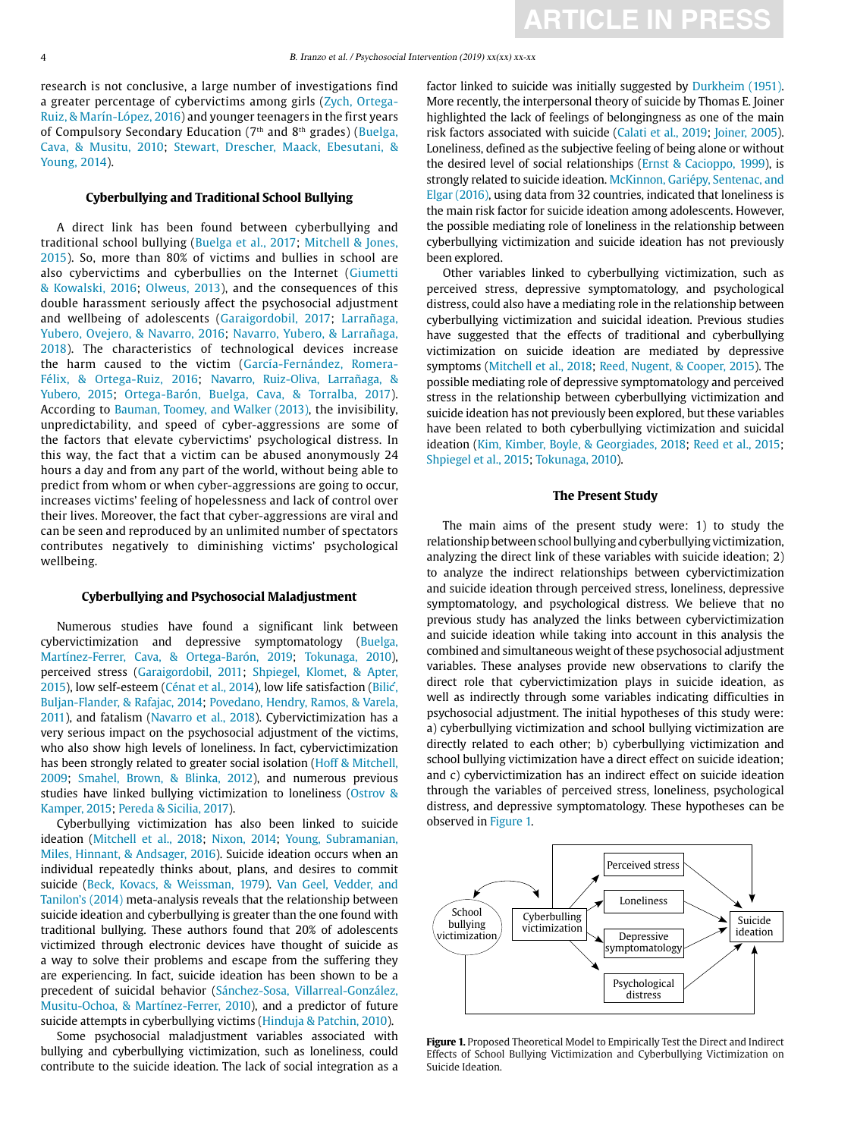research is not conclusive, a large number of investigations find a greater percentage of cybervictims among girls (Zych, Ortega-Ruiz, & Marín-López, 2016) and younger teenagers in the first years of Compulsory Secondary Education (7<sup>th</sup> and 8<sup>th</sup> grades) (Buelga, [Cava, & Musitu, 2010](#page-5-6); Stewart, Drescher, Maack, Ebesutani, & Young, 2014).

### **Cyberbullying and Traditional School Bullying**

A direct link has been found between cyberbullying and traditional school bullying [\(Buelga et al., 2017;](#page-5-6) [Mitchell & Jones,](#page-6-0)  [2015\)](#page-6-0). So, more than 80% of victims and bullies in school are also cybervictims and cyberbullies on the Internet ([Giumetti](#page-5-5)  [&](#page-5-5) Kowalski, 2016; Olweus, 2013), and the consequences of this double harassment seriously affect the psychosocial adjustment and wellbeing of adolescents ([Garaigordobil, 2017;](#page-5-4) [Larrañaga,](#page-6-1)  [Yubero, Ovejero, & Navarro, 2016;](#page-6-1) Navarro, Yubero, & Larrañaga, 2018). The characteristics of technological devices increase the harm caused to the victim ([García-Fernández, Romera-](#page-5-8)[Félix, & Ortega-Ruiz, 2016](#page-5-8); Navarro, Ruiz-Oliva, Larrañaga, & Yubero, 2015; Ortega-Barón, Buelga, Cava, & Torralba, 2017). According to [Bauman, Toomey, and Walker \(2013\)](#page-5-9), the invisibility, unpredictability, and speed of cyber-aggressions are some of the factors that elevate cybervictims' psychological distress. In this way, the fact that a victim can be abused anonymously 24 hours a day and from any part of the world, without being able to predict from whom or when cyber-aggressions are going to occur, increases victims' feeling of hopelessness and lack of control over their lives. Moreover, the fact that cyber-aggressions are viral and can be seen and reproduced by an unlimited number of spectators contributes negatively to diminishing victims' psychological wellbeing.

## **Cyberbullying and Psychosocial Maladjustment**

Numerous studies have found a significant link between cybervictimization and depressive symptomatology ([Buelga,](#page-5-6)  [Martínez-Ferrer, Cava, & Ortega-Barón, 2019](#page-5-6); Tokunaga, 2010), perceived stress [\(Garaigordobil, 2011](#page-5-4); Shpiegel, Klomet, & Apter, 2015), low self-esteem ([Cénat et al., 2014](#page-5-10)), low life satisfaction ([Bili](#page-5-11)ć, [Buljan-Flander, & Rafajac, 2014](#page-5-11); Povedano, Hendry, Ramos, & Varela, 2011), and fatalism (Navarro et al., 2018). Cybervictimization has a very serious impact on the psychosocial adjustment of the victims, who also show high levels of loneliness. In fact, cybervictimization has been strongly related to greater social isolation ([Hoff & Mitchell,](#page-6-2)  [2009;](#page-6-2) Smahel, Brown, & Blinka, 2012), and numerous previous studies have linked bullying victimization to loneliness (Ostrov & Kamper, 2015; Pereda & Sicilia, 2017).

Cyberbullying victimization has also been linked to suicide ideation [\(Mitchell et al., 2018](#page-6-0); Nixon, 2014; Young, Subramanian, Miles, Hinnant, & Andsager, 2016). Suicide ideation occurs when an individual repeatedly thinks about, plans, and desires to commit suicide ([Beck, Kovacs, & Weissman, 1979\)](#page-5-12). Van Geel, Vedder, and Tanilon's (2014) meta-analysis reveals that the relationship between suicide ideation and cyberbullying is greater than the one found with traditional bullying. These authors found that 20% of adolescents victimized through electronic devices have thought of suicide as a way to solve their problems and escape from the suffering they are experiencing. In fact, suicide ideation has been shown to be a precedent of suicidal behavior (Sánchez-Sosa, Villarreal-González, Musitu-Ochoa, & Martínez-Ferrer, 2010), and a predictor of future suicide attempts in cyberbullying victims [\(Hinduja & Patchin, 2010](#page-5-13)).

Some psychosocial maladjustment variables associated with bullying and cyberbullying victimization, such as loneliness, could contribute to the suicide ideation. The lack of social integration as a

factor linked to suicide was initially suggested by [Durkheim \(1951\)](#page-5-14). More recently, the interpersonal theory of suicide by Thomas E. Joiner highlighted the lack of feelings of belongingness as one of the main risk factors associated with suicide ([Calati et al., 2019](#page-5-15); [Joiner, 2005](#page-6-3)). Loneliness, defined as the subjective feeling of being alone or without the desired level of social relationships [\(Ernst & Cacioppo, 1999\)](#page-5-16), is strongly related to suicide ideation. McKinnon, Gariépy, Sentenac, and Elgar (2016), using data from 32 countries, indicated that loneliness is the main risk factor for suicide ideation among adolescents. However, the possible mediating role of loneliness in the relationship between cyberbullying victimization and suicide ideation has not previously been explored.

Other variables linked to cyberbullying victimization, such as perceived stress, depressive symptomatology, and psychological distress, could also have a mediating role in the relationship between cyberbullying victimization and suicidal ideation. Previous studies have suggested that the effects of traditional and cyberbullying victimization on suicide ideation are mediated by depressive symptoms [\(Mitchell et al., 2018](#page-6-0); Reed, Nugent, & Cooper, 2015). The possible mediating role of depressive symptomatology and perceived stress in the relationship between cyberbullying victimization and suicide ideation has not previously been explored, but these variables have been related to both cyberbullying victimization and suicidal ideation [\(Kim, Kimber, Boyle, & Georgiades, 2018](#page-6-4); Reed et al., 2015; Shpiegel et al., 2015; Tokunaga, 2010).

#### **The Present Study**

The main aims of the present study were: 1) to study the relationship between school bullying and cyberbullying victimization, analyzing the direct link of these variables with suicide ideation; 2) to analyze the indirect relationships between cybervictimization and suicide ideation through perceived stress, loneliness, depressive symptomatology, and psychological distress. We believe that no previous study has analyzed the links between cybervictimization and suicide ideation while taking into account in this analysis the combined and simultaneous weight of these psychosocial adjustment variables. These analyses provide new observations to clarify the direct role that cybervictimization plays in suicide ideation, as well as indirectly through some variables indicating difficulties in psychosocial adjustment. The initial hypotheses of this study were: a) cyberbullying victimization and school bullying victimization are directly related to each other; b) cyberbullying victimization and school bullying victimization have a direct effect on suicide ideation; and c) cybervictimization has an indirect effect on suicide ideation through the variables of perceived stress, loneliness, psychological distress, and depressive symptomatology. These hypotheses can be observed in [Figure 1](#page-1-0).



<span id="page-1-0"></span>**Figure 1.** Proposed Theoretical Model to Empirically Test the Direct and Indirect Effects of School Bullying Victimization and Cyberbullying Victimization on Suicide Ideation.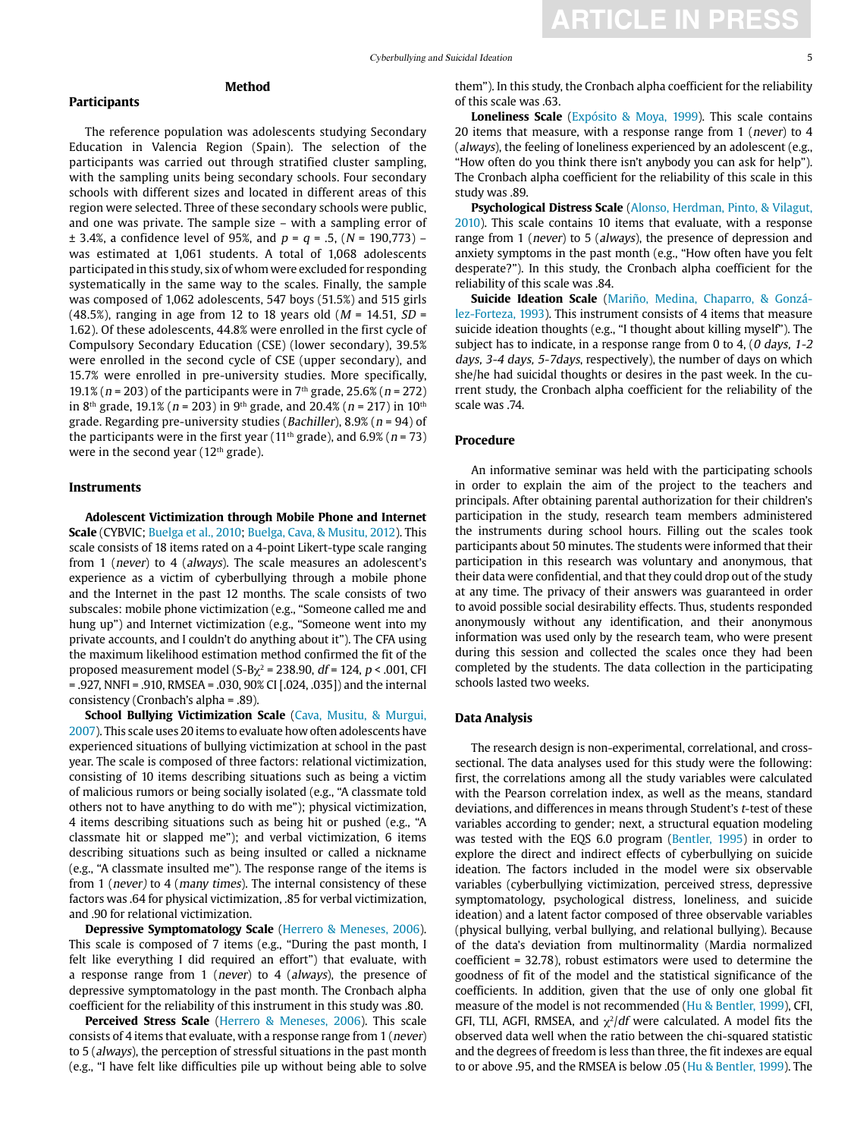# **Method**

The reference population was adolescents studying Secondary Education in Valencia Region (Spain). The selection of the participants was carried out through stratified cluster sampling, with the sampling units being secondary schools. Four secondary schools with different sizes and located in different areas of this region were selected. Three of these secondary schools were public, and one was private. The sample size – with a sampling error of  $\pm$  3.4%, a confidence level of 95%, and  $p = q = .5$ , (N = 190,773) – was estimated at 1,061 students. A total of 1,068 adolescents participated in this study, six of whom were excluded for responding systematically in the same way to the scales. Finally, the sample was composed of 1,062 adolescents, 547 boys (51.5%) and 515 girls (48.5%), ranging in age from 12 to 18 years old  $(M = 14.51, SD =$ 1.62). Of these adolescents, 44.8% were enrolled in the first cycle of Compulsory Secondary Education (CSE) (lower secondary), 39.5% were enrolled in the second cycle of CSE (upper secondary), and 15.7% were enrolled in pre-university studies. More specifically, 19.1% ( $n = 203$ ) of the participants were in  $7<sup>th</sup>$  grade, 25.6% ( $n = 272$ ) in 8<sup>th</sup> grade, 19.1% (n = 203) in 9<sup>th</sup> grade, and 20.4% (n = 217) in 10<sup>th</sup> grade. Regarding pre-university studies (*Bachiller*), 8.9% ( $n = 94$ ) of the participants were in the first year (11<sup>th</sup> grade), and  $6.9\%$  ( $n = 73$ ) were in the second year (12<sup>th</sup> grade).

#### **Instruments**

**Participants**

**Adolescent Victimization through Mobile Phone and Internet Scale** (CYBVIC; [Buelga et al., 2010](#page-5-6); [Buelga, Cava, & Musitu, 2012\)](#page-5-6). This scale consists of 18 items rated on a 4-point Likert-type scale ranging from 1 (never) to 4 (always). The scale measures an adolescent's experience as a victim of cyberbullying through a mobile phone and the Internet in the past 12 months. The scale consists of two subscales: mobile phone victimization (e.g., "Someone called me and hung up") and Internet victimization (e.g., "Someone went into my private accounts, and I couldn't do anything about it"). The CFA using the maximum likelihood estimation method confirmed the fit of the proposed measurement model (S-B $\chi^2$  = 238.90, df = 124, p < .001, CFI = .927, NNFI = .910, RMSEA = .030, 90% CI [.024, .035]) and the internal consistency (Cronbach's alpha = .89).

**School Bullying Victimization Scale** ([Cava, Musitu, & Murgui,](#page-5-17)  [2007\)](#page-5-17). This scale uses 20 items to evaluate how often adolescents have experienced situations of bullying victimization at school in the past year. The scale is composed of three factors: relational victimization, consisting of 10 items describing situations such as being a victim of malicious rumors or being socially isolated (e.g., "A classmate told others not to have anything to do with me"); physical victimization, 4 items describing situations such as being hit or pushed (e.g., "A classmate hit or slapped me"); and verbal victimization, 6 items describing situations such as being insulted or called a nickname (e.g., "A classmate insulted me"). The response range of the items is from 1 (never) to 4 (many times). The internal consistency of these factors was .64 for physical victimization, .85 for verbal victimization, and .90 for relational victimization.

**Depressive Symptomatology Scale** [\(Herrero & Meneses, 2006\)](#page-5-18). This scale is composed of 7 items (e.g., "During the past month, I felt like everything I did required an effort") that evaluate, with a response range from 1 (never) to 4 (always), the presence of depressive symptomatology in the past month. The Cronbach alpha coefficient for the reliability of this instrument in this study was .80.

**Perceived Stress Scale** [\(Herrero & Meneses, 2006\)](#page-5-18). This scale consists of 4 items that evaluate, with a response range from 1 (never) to 5 (always), the perception of stressful situations in the past month (e.g., "I have felt like difficulties pile up without being able to solve

them"). In this study, the Cronbach alpha coefficient for the reliability of this scale was .63.

**Loneliness Scale** [\(Expósito & Moya, 1999\)](#page-5-19). This scale contains 20 items that measure, with a response range from 1 (never) to 4 (always), the feeling of loneliness experienced by an adolescent (e.g., "How often do you think there isn't anybody you can ask for help"). The Cronbach alpha coefficient for the reliability of this scale in this study was .89.

**Psychological Distress Scale** [\(Alonso, Herdman, Pinto, & Vilagut,](#page-5-20)  [2010](#page-5-20)). This scale contains 10 items that evaluate, with a response range from 1 (never) to 5 (always), the presence of depression and anxiety symptoms in the past month (e.g., "How often have you felt desperate?"). In this study, the Cronbach alpha coefficient for the reliability of this scale was .84.

**Suicide Ideation Scale** [\(Mariño, Medina, Chaparro, & Gonzá](#page-6-5)[lez-Forteza, 1993\)](#page-6-5). This instrument consists of 4 items that measure suicide ideation thoughts (e.g., "I thought about killing myself"). The subject has to indicate, in a response range from 0 to 4,  $(0 \text{ days}, 1-2)$ days, 3-4 days, 5-7days, respectively), the number of days on which she/he had suicidal thoughts or desires in the past week. In the current study, the Cronbach alpha coefficient for the reliability of the scale was .74.

#### **Procedure**

An informative seminar was held with the participating schools in order to explain the aim of the project to the teachers and principals. After obtaining parental authorization for their children's participation in the study, research team members administered the instruments during school hours. Filling out the scales took participants about 50 minutes. The students were informed that their participation in this research was voluntary and anonymous, that their data were confidential, and that they could drop out of the study at any time. The privacy of their answers was guaranteed in order to avoid possible social desirability effects. Thus, students responded anonymously without any identification, and their anonymous information was used only by the research team, who were present during this session and collected the scales once they had been completed by the students. The data collection in the participating schools lasted two weeks.

### **Data Analysis**

The research design is non-experimental, correlational, and crosssectional. The data analyses used for this study were the following: first, the correlations among all the study variables were calculated with the Pearson correlation index, as well as the means, standard deviations, and differences in means through Student's t-test of these variables according to gender; next, a structural equation modeling was tested with the EQS 6.0 program ([Bentler, 1995](#page-5-21)) in order to explore the direct and indirect effects of cyberbullying on suicide ideation. The factors included in the model were six observable variables (cyberbullying victimization, perceived stress, depressive symptomatology, psychological distress, loneliness, and suicide ideation) and a latent factor composed of three observable variables (physical bullying, verbal bullying, and relational bullying). Because of the data's deviation from multinormality (Mardia normalized coefficient = 32.78), robust estimators were used to determine the goodness of fit of the model and the statistical significance of the coefficients. In addition, given that the use of only one global fit measure of the model is not recommended [\(Hu & Bentler, 1999](#page-6-6)), CFI, GFI, TLI, AGFI, RMSEA, and  $\chi^2/df$  were calculated. A model fits the observed data well when the ratio between the chi-squared statistic and the degrees of freedom is less than three, the fit indexes are equal to or above .95, and the RMSEA is below .05 [\(Hu & Bentler, 1999\)](#page-6-6). The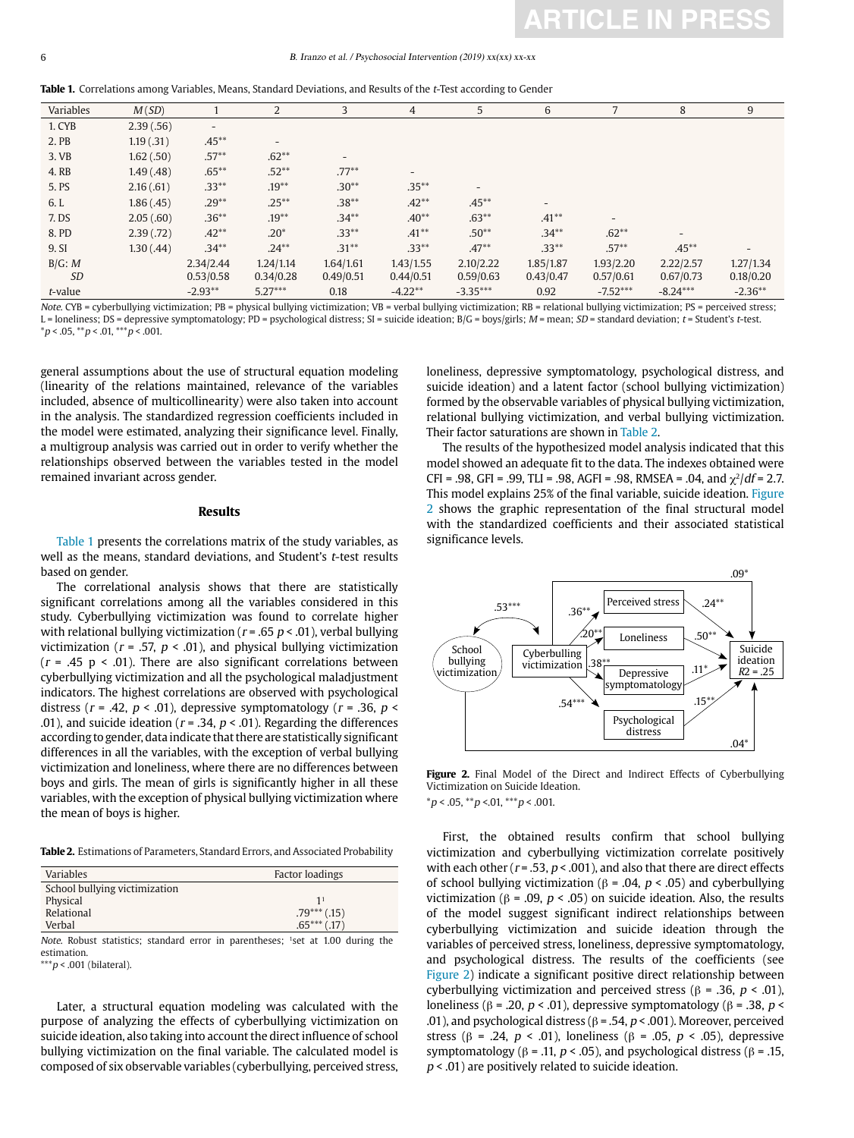|  |  |  |  |  | <b>Table 1.</b> Correlations among Variables, Means, Standard Deviations, and Results of the <i>t</i> -Test according to Gender |
|--|--|--|--|--|---------------------------------------------------------------------------------------------------------------------------------|
|--|--|--|--|--|---------------------------------------------------------------------------------------------------------------------------------|

| 9         |
|-----------|
|           |
|           |
|           |
|           |
|           |
|           |
|           |
|           |
|           |
| 1,27/1,34 |
| 0.18/0.20 |
| $-2.36**$ |
|           |

Note. CYB = cyberbullying victimization; PB = physical bullying victimization; VB = verbal bullying victimization; RB = relational bullying victimization; PS = perceived stress; L = loneliness; DS = depressive symptomatology; PD = psychological distress; SI = suicide ideation; B/G = boys/girls; M = mean; SD = standard deviation; t = Student's t-test.  $*p < .05, **p < .01, **p < .001.$ 

general assumptions about the use of structural equation modeling (linearity of the relations maintained, relevance of the variables included, absence of multicollinearity) were also taken into account in the analysis. The standardized regression coefficients included in the model were estimated, analyzing their significance level. Finally, a multigroup analysis was carried out in order to verify whether the relationships observed between the variables tested in the model remained invariant across gender.

#### **Results**

Table 1 presents the correlations matrix of the study variables, as well as the means, standard deviations, and Student's t-test results based on gender.

The correlational analysis shows that there are statistically significant correlations among all the variables considered in this study. Cyberbullying victimization was found to correlate higher with relational bullying victimization ( $r = .65$   $p < .01$ ), verbal bullying victimization ( $r = .57$ ,  $p < .01$ ), and physical bullying victimization  $(r = .45 \text{ p} < .01)$ . There are also significant correlations between cyberbullying victimization and all the psychological maladjustment indicators. The highest correlations are observed with psychological distress ( $r = .42$ ,  $p < .01$ ), depressive symptomatology ( $r = .36$ ,  $p <$ .01), and suicide ideation ( $r = .34$ ,  $p < .01$ ). Regarding the differences according to gender, data indicate that there are statistically significant differences in all the variables, with the exception of verbal bullying victimization and loneliness, where there are no differences between boys and girls. The mean of girls is significantly higher in all these variables, with the exception of physical bullying victimization where the mean of boys is higher.

**Table 2.** Estimations of Parameters, Standard Errors, and Associated Probability

| <b>Variables</b>              | <b>Factor loadings</b> |  |  |
|-------------------------------|------------------------|--|--|
| School bullying victimization |                        |  |  |
| Physical                      | 11                     |  |  |
| Relational                    | $.79***$ (.15)         |  |  |
| Verbal                        | $.65***(.17)$          |  |  |

Note. Robust statistics; standard error in parentheses; <sup>1</sup>set at 1.00 during the estimation.

 $**p < .001$  (bilateral).

Later, a structural equation modeling was calculated with the purpose of analyzing the effects of cyberbullying victimization on suicide ideation, also taking into account the direct influence of school bullying victimization on the final variable. The calculated model is composed of six observable variables (cyberbullying, perceived stress, loneliness, depressive symptomatology, psychological distress, and suicide ideation) and a latent factor (school bullying victimization) formed by the observable variables of physical bullying victimization, relational bullying victimization, and verbal bullying victimization. Their factor saturations are shown in Table 2.

The results of the hypothesized model analysis indicated that this model showed an adequate fit to the data. The indexes obtained were CFI = .98, GFI = .99, TLI = .98, AGFI = .98, RMSEA = .04, and  $\chi^2$  df = 2.7. This model explains 25% of the final variable, suicide ideation. [Figure](#page-3-0) [2](#page-3-0) shows the graphic representation of the final structural model with the standardized coefficients and their associated statistical significance levels.



<span id="page-3-0"></span>Figure 2. Final Model of the Direct and Indirect Effects of Cyberbullying Victimization on Suicide Ideation.  $*p < .05, **p < .01, **p < .001.$ 

First, the obtained results confirm that school bullying victimization and cyberbullying victimization correlate positively with each other ( $r = .53$ ,  $p < .001$ ), and also that there are direct effects of school bullying victimization (β = .04,  $p$  < .05) and cyberbullying victimization (β = .09,  $p$  < .05) on suicide ideation. Also, the results of the model suggest significant indirect relationships between cyberbullying victimization and suicide ideation through the variables of perceived stress, loneliness, depressive symptomatology, and psychological distress. The results of the coefficients (see [Figure 2\)](#page-3-0) indicate a significant positive direct relationship between cyberbullying victimization and perceived stress ( $\beta$  = .36,  $p < .01$ ), loneliness ( $\beta$  = .20,  $p < .01$ ), depressive symptomatology ( $\beta$  = .38,  $p <$ .01), and psychological distress ( $\beta$  = .54,  $p$  < .001). Moreover, perceived stress ( $\beta$  = .24,  $p < .01$ ), loneliness ( $\beta$  = .05,  $p < .05$ ), depressive symptomatology ( $\beta$  = .11,  $p < .05$ ), and psychological distress ( $\beta$  = .15,  $p < .01$ ) are positively related to suicide ideation.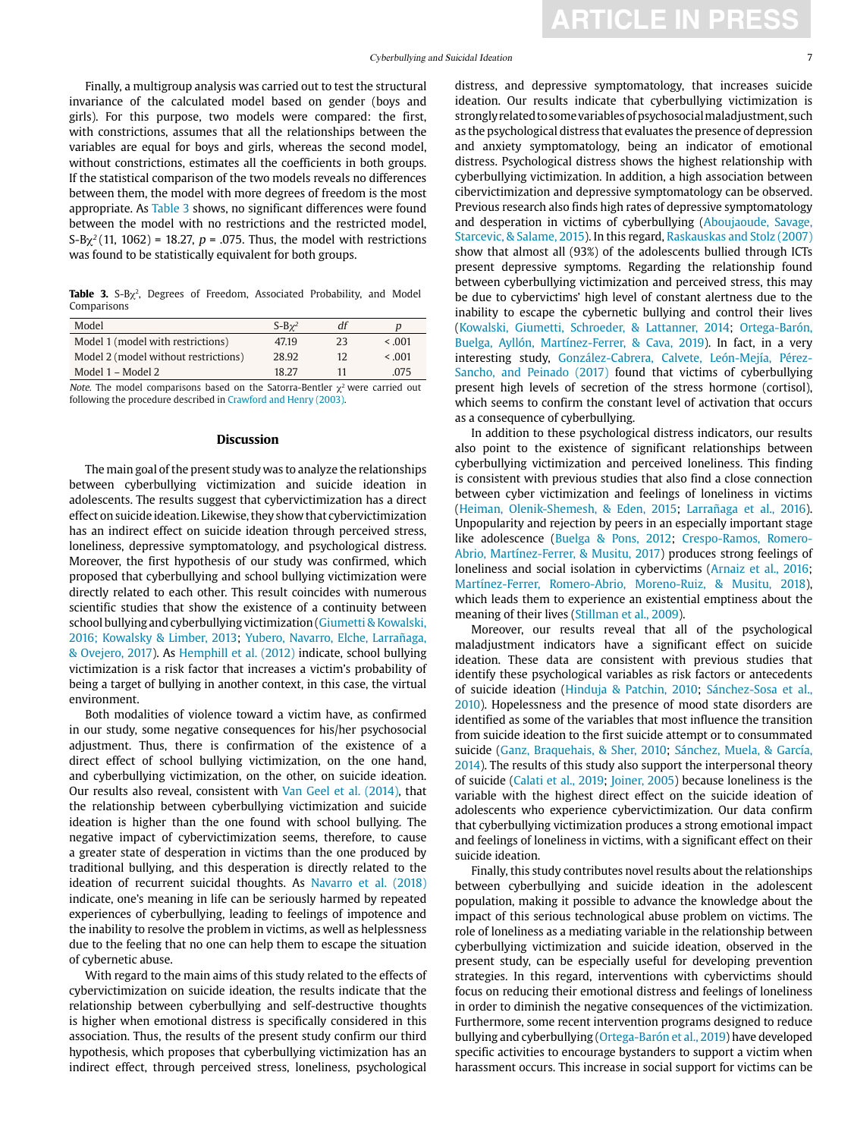Finally, a multigroup analysis was carried out to test the structural invariance of the calculated model based on gender (boys and girls). For this purpose, two models were compared: the first, with constrictions, assumes that all the relationships between the variables are equal for boys and girls, whereas the second model, without constrictions, estimates all the coefficients in both groups. If the statistical comparison of the two models reveals no differences between them, the model with more degrees of freedom is the most appropriate. As Table 3 shows, no significant differences were found between the model with no restrictions and the restricted model,  $S-B\chi^2(11, 1062) = 18.27$ ,  $p = .075$ . Thus, the model with restrictions was found to be statistically equivalent for both groups.

Table 3. S-B<sub>X</sub><sup>2</sup>, Degrees of Freedom, Associated Probability, and Model Comparisons

| $S-B\gamma^2$ | df | D      |
|---------------|----|--------|
| 47.19         | 23 | < 0.01 |
| 28.92         | 12 | < 0.01 |
| 18.27         | 11 | .075   |
|               |    |        |

Note. The model comparisons based on the Satorra-Bentler  $\gamma^2$  were carried out following the procedure described in [Crawford and Henry \(2003\)](#page-5-22).

#### **Discussion**

The main goal of the present study was to analyze the relationships between cyberbullying victimization and suicide ideation in adolescents. The results suggest that cybervictimization has a direct effect on suicide ideation. Likewise, they show that cybervictimization has an indirect effect on suicide ideation through perceived stress, loneliness, depressive symptomatology, and psychological distress. Moreover, the first hypothesis of our study was confirmed, which proposed that cyberbullying and school bullying victimization were directly related to each other. This result coincides with numerous scientific studies that show the existence of a continuity between school bullying and cyberbullying victimization ([Giumetti & Kowalski,](#page-5-5)  [2016; Kowalsky & Limber, 2013](#page-5-5); Yubero, Navarro, Elche, Larrañaga, & Ovejero, 2017). As [Hemphill et al. \(2012\)](#page-5-23) indicate, school bullying victimization is a risk factor that increases a victim's probability of being a target of bullying in another context, in this case, the virtual environment.

Both modalities of violence toward a victim have, as confirmed in our study, some negative consequences for his/her psychosocial adjustment. Thus, there is confirmation of the existence of a direct effect of school bullying victimization, on the one hand, and cyberbullying victimization, on the other, on suicide ideation. Our results also reveal, consistent with Van Geel et al. (2014), that the relationship between cyberbullying victimization and suicide ideation is higher than the one found with school bullying. The negative impact of cybervictimization seems, therefore, to cause a greater state of desperation in victims than the one produced by traditional bullying, and this desperation is directly related to the ideation of recurrent suicidal thoughts. As Navarro et al. (2018) indicate, one's meaning in life can be seriously harmed by repeated experiences of cyberbullying, leading to feelings of impotence and the inability to resolve the problem in victims, as well as helplessness due to the feeling that no one can help them to escape the situation of cybernetic abuse.

With regard to the main aims of this study related to the effects of cybervictimization on suicide ideation, the results indicate that the relationship between cyberbullying and self-destructive thoughts is higher when emotional distress is specifically considered in this association. Thus, the results of the present study confirm our third hypothesis, which proposes that cyberbullying victimization has an indirect effect, through perceived stress, loneliness, psychological

distress, and depressive symptomatology, that increases suicide ideation. Our results indicate that cyberbullying victimization is strongly related to some variables of psychosocial maladjustment, such as the psychological distress that evaluates the presence of depression and anxiety symptomatology, being an indicator of emotional distress. Psychological distress shows the highest relationship with cyberbullying victimization. In addition, a high association between cibervictimization and depressive symptomatology can be observed. Previous research also finds high rates of depressive symptomatology and desperation in victims of cyberbullying [\(Aboujaoude, Savage,](#page-5-24)  [Starcevic, & Salame, 2015\)](#page-5-24). In this regard, Raskauskas and Stolz (2007)

**ARTICLE IN PRESS**

show that almost all (93%) of the adolescents bullied through ICTs present depressive symptoms. Regarding the relationship found between cyberbullying victimization and perceived stress, this may be due to cybervictims' high level of constant alertness due to the inability to escape the cybernetic bullying and control their lives [\(Kowalski, Giumetti, Schroeder, & Lattanner, 2014;](#page-6-7) Ortega-Barón, Buelga, Ayllón, Martínez-Ferrer, & Cava, 2019). In fact, in a very interesting study, [González-Cabrera, Calvete, León-Mejía, Pérez-](#page-5-25)[Sancho, and Peinado \(2017\)](#page-5-25) found that victims of cyberbullying present high levels of secretion of the stress hormone (cortisol), which seems to confirm the constant level of activation that occurs as a consequence of cyberbullying.

In addition to these psychological distress indicators, our results also point to the existence of significant relationships between cyberbullying victimization and perceived loneliness. This finding is consistent with previous studies that also find a close connection between cyber victimization and feelings of loneliness in victims [\(Heiman, Olenik-Shemesh, & Eden, 2015](#page-5-26); [Larrañaga et al., 2016](#page-6-1)). Unpopularity and rejection by peers in an especially important stage like adolescence [\(Buelga & Pons, 2012](#page-5-6); [Crespo-Ramos, Romero-](#page-5-27)[Abrio, Martínez-Ferrer, & Musitu, 2017\)](#page-5-27) produces strong feelings of loneliness and social isolation in cybervictims [\(Arnaiz et al., 2016](#page-5-3); [Martínez-Ferrer, Romero-Abrio, Moreno-Ruiz, & Musitu, 2018](#page-6-8)), which leads them to experience an existential emptiness about the meaning of their lives (Stillman et al., 2009).

Moreover, our results reveal that all of the psychological maladjustment indicators have a significant effect on suicide ideation. These data are consistent with previous studies that identify these psychological variables as risk factors or antecedents of suicide ideation [\(Hinduja & Patchin, 2010;](#page-5-13) Sánchez-Sosa et al., 2010). Hopelessness and the presence of mood state disorders are identified as some of the variables that most influence the transition from suicide ideation to the first suicide attempt or to consummated suicide [\(Ganz, Braquehais, & Sher, 2010;](#page-5-28) Sánchez, Muela, & García, 2014). The results of this study also support the interpersonal theory of suicide [\(Calati et al., 2019](#page-5-15); [Joiner, 2005](#page-6-3)) because loneliness is the variable with the highest direct effect on the suicide ideation of adolescents who experience cybervictimization. Our data confirm that cyberbullying victimization produces a strong emotional impact and feelings of loneliness in victims, with a significant effect on their suicide ideation.

Finally, this study contributes novel results about the relationships between cyberbullying and suicide ideation in the adolescent population, making it possible to advance the knowledge about the impact of this serious technological abuse problem on victims. The role of loneliness as a mediating variable in the relationship between cyberbullying victimization and suicide ideation, observed in the present study, can be especially useful for developing prevention strategies. In this regard, interventions with cybervictims should focus on reducing their emotional distress and feelings of loneliness in order to diminish the negative consequences of the victimization. Furthermore, some recent intervention programs designed to reduce bullying and cyberbullying (Ortega-Barón et al., 2019) have developed specific activities to encourage bystanders to support a victim when harassment occurs. This increase in social support for victims can be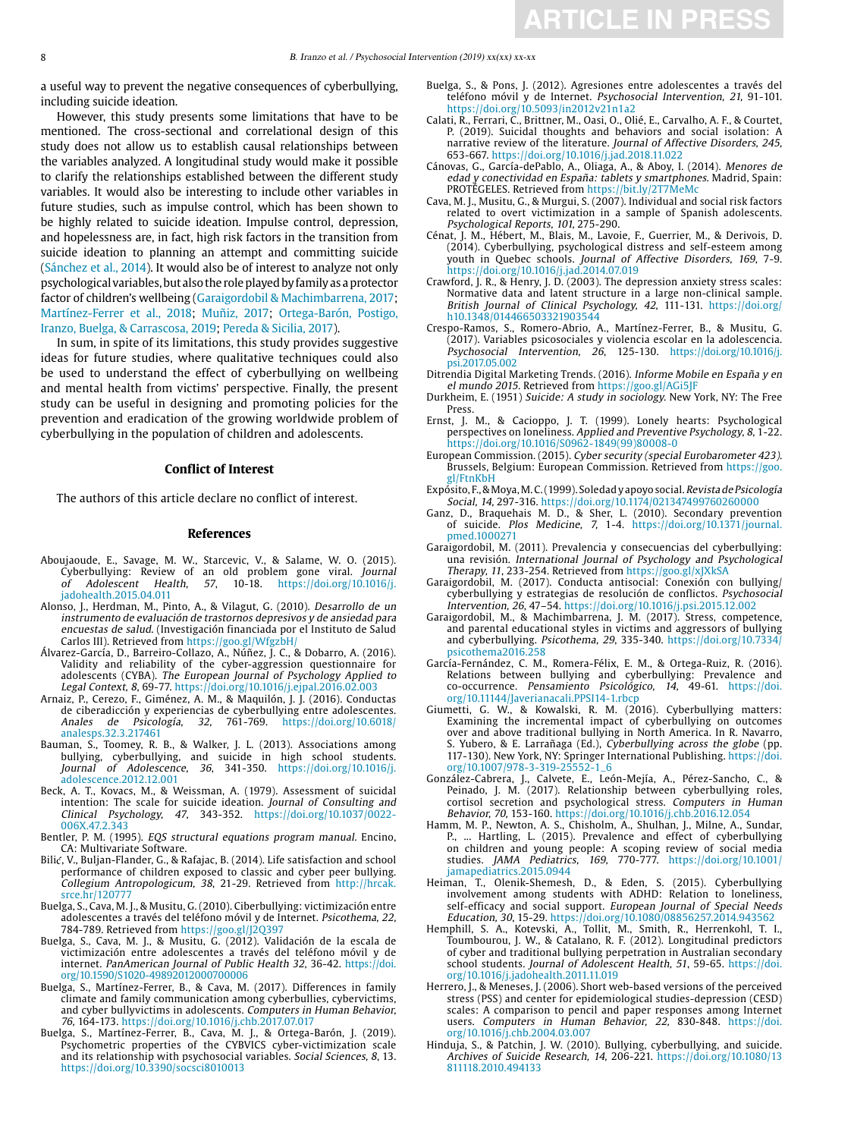a useful way to prevent the negative consequences of cyberbullying, including suicide ideation.

However, this study presents some limitations that have to be mentioned. The cross-sectional and correlational design of this study does not allow us to establish causal relationships between the variables analyzed. A longitudinal study would make it possible to clarify the relationships established between the different study variables. It would also be interesting to include other variables in future studies, such as impulse control, which has been shown to be highly related to suicide ideation. Impulse control, depression, and hopelessness are, in fact, high risk factors in the transition from suicide ideation to planning an attempt and committing suicide (Sánchez et al., 2014). It would also be of interest to analyze not only psychological variables, but also the role played by family as a protector factor of children's wellbeing [\(Garaigordobil & Machimbarrena, 2017;](#page-5-4) [Martínez-Ferrer et al., 2018;](#page-6-8) Muñiz, 2017; Ortega-Barón, Postigo, Iranzo, Buelga, & Carrascosa, 2019; Pereda & Sicilia, 2017).

In sum, in spite of its limitations, this study provides suggestive ideas for future studies, where qualitative techniques could also be used to understand the effect of cyberbullying on wellbeing and mental health from victims' perspective. Finally, the present study can be useful in designing and promoting policies for the prevention and eradication of the growing worldwide problem of cyberbullying in the population of children and adolescents.

#### **Conflict of Interest**

The authors of this article declare no conflict of interest.

#### **References**

- <span id="page-5-24"></span>Aboujaoude, E., Savage, M. W., Starcevic, V., & Salame, W. O. (2015). Cyberbullying: Review of an old problem gone viral. Journal of Adolescent Health, 57, 10-18. [https://doi.org/10.1016/j.](https://doi.org/10.1016/j.jadohealth.2015.04.011) [jadohealth.2015.04.011](https://doi.org/10.1016/j.jadohealth.2015.04.011)
- <span id="page-5-20"></span>Alonso, J., Herdman, M., Pinto, A., & Vilagut, G. (2010). Desarrollo de un instrumento de evaluación de trastornos depresivos y de ansiedad para encuestas de salud. (Investigación financiada por el Instituto de Salud Carlos III). Retrieved from<https://goo.gl/WfgzbH>/
- <span id="page-5-7"></span>Álvarez-García, D., Barreiro-Collazo, A., Núñez, J. C., & Dobarro, A. (2016). Validity and reliability of the cyber-aggression questionnaire for adolescents (CYBA). The European Journal of Psychology Applied to Legal Context, 8, 69-77. <https://doi.org/10.1016/j.ejpal.2016.02.003>
- <span id="page-5-3"></span>Arnaiz, P., Cerezo, F., Giménez, A. M., & Maquilón, J. J. (2016). Conductas de ciberadicción y experiencias de cyberbullying entre adolescentes.<br>*Anales de Psicología, 32, 7*61-769. https://doi.org[/10.6018/](https://doi.org/10.6018/analesps.32.3.217461) [analesps.32.3.217461](https://doi.org/10.6018/analesps.32.3.217461)
- <span id="page-5-9"></span>Bauman, S., Toomey, R. B., & Walker, J. L. (2013). Associations among bullying, cyberbullying, and suicide in high school students. Journal of Adolescence, 36, 341-350. https://doi.org/[10.1016/j.](https://doi.org/10.1016/j.adolescence.2012.12.001) [adolescence.2012.12.001](https://doi.org/10.1016/j.adolescence.2012.12.001)
- <span id="page-5-12"></span>Beck, A. T., Kovacs, M., & Weissman, A. (1979). Assessment of suicidal intention: The scale for suicide ideation. Journal of Consulting and Clinical Psychology, 47, 343-352. https://doi.org/[10.1037/0022-](https://doi.org/10.1037/0022-006X.47.2.343) [006X.47.2.343](https://doi.org/10.1037/0022-006X.47.2.343)
- <span id="page-5-21"></span>Bentler, P. M. (1995). EQS structural equations program manual. Encino, CA: Multivariate Software.
- <span id="page-5-11"></span>Bilić, V., Buljan-Flander, G., & Rafajac, B. (2014). Life satisfaction and school performance of children exposed to classic and cyber peer bullying. Collegium Antropologicum, 38, 21-29. Retrieved from [http://hrcak.](http://hrcak.srce.hr/120777) [srce.hr/120777](http://hrcak.srce.hr/120777)
- <span id="page-5-6"></span>Buelga, S., Cava, M. J., & Musitu, G. (2010). Ciberbullying: victimización entre adolescentes a través del teléfono móvil y de Internet. Psicothema, 22, 784-789. Retrieved from <https://goo.gl/J2Q397>
- Buelga, S., Cava, M. J., & Musitu, G. (2012). Validación de la escala de victimización entre adolescentes a través del teléfono móvil y de internet. PanAmerican Journal of Public Health 32, 36-42. [https://doi.](https://doi.org/10.1590/S1020-49892012000700006) [org/10.1590/S1020-49892012000700006](https://doi.org/10.1590/S1020-49892012000700006)
- Buelga, S., Martínez-Ferrer, B., & Cava, M. (2017). Differences in family climate and family communication among cyberbullies, cybervictims, and cyber bullyvictims in adolescents. Computers in Human Behavior, 76, 164-173. https://doi.org/10.1016/j.chb.2017.07.017
- Buelga, S., Martínez-Ferrer, B., Cava, M. J., & Ortega-Barón, J. (2019). Psychometric properties of the CYBVICS cyber-victimization scale and its relationship with psychosocial variables. Social Sciences, 8, 13. https://doi.org/[10.3390/socsci8010013](https://doi.org/10.3390/socsci8010013)

Buelga, S., & Pons, J. (2012). Agresiones entre adolescentes a través del teléfono móvil y de Internet. Psychosocial Intervention, 21, 91-101. https://doi.org/10.5093/in2012v21n1a2

**ARTICLE IN PRESS**

- <span id="page-5-15"></span>Calati, R., Ferrari, C., Brittner, M., Oasi, O., Olié, E., Carvalho, A. F., & Courtet, P. (2019). Suicidal thoughts and behaviors and social isolation: A narrative review of the literature. Journal of Affective Disorders, 245, 653-667. https://doi.org[/10.1016/j.jad.2018.11.022](https://doi.org/10.1016/j.jad.2018.11.022)
- <span id="page-5-0"></span>Cánovas, G., García-dePablo, A., Oliaga, A., & Aboy, I. (2014). Menores de edad y conectividad en España: tablets y smartphones. Madrid, Spain: PROTÉGELES. Retrieved from <https://bit.ly/2T7MeMc>
- <span id="page-5-17"></span>Cava, M. J., Musitu, G., & Murgui, S. (2007). Individual and social risk factors related to overt victimization in a sample of Spanish adolescents. Psychological Reports, 101, 275-290.
- <span id="page-5-10"></span>Cénat, J. M., Hébert, M., Blais, M., Lavoie, F., Guerrier, M., & Derivois, D. (2014). Cyberbullying, psychological distress and self-esteem among youth in Quebec schools. Journal of Affective Disorders, 169, 7-9. https://doi.org[/10.1016/j.jad.2014.07.019](https://doi.org/10.1016/j.jad.2014.07.019)
- <span id="page-5-22"></span>Crawford, J. R., & Henry, J. D. (2003). The depression anxiety stress scales: Normative data and latent structure in a large non-clinical sample. British Journal of Clinical Psychology, 42, 111-131. https://doi.org/ [h10.1348/014466503321903544](https://doi.org/h10.1348/014466503321903544)
- <span id="page-5-27"></span>Crespo-Ramos, S., Romero-Abrio, A., Martínez-Ferrer, B., & Musitu, G. (2017). Variables psicosociales y violencia escolar en la adolescencia. Psychosocial Intervention, 26, 125-130. [https://doi.org/10.1016/j.](https://doi.org/10.1016/j.psi.2017.05.002) [psi.2017.05.002](https://doi.org/10.1016/j.psi.2017.05.002)
- <span id="page-5-1"></span>Ditrendia Digital Marketing Trends. (2016). Informe Mobile en España y en el mundo 2015. Retrieved from https://goo.gl/AGi5JF
- <span id="page-5-14"></span>Durkheim, E. (1951) Suicide: A study in sociology. New York, NY: The Free Press.
- <span id="page-5-16"></span>Ernst, J. M., & Cacioppo, J. T. (1999). Lonely hearts: Psychological perspectives on loneliness. Applied and Preventive Psychology, 8, 1-22. https://doi.org[/10.1016/S0962-1849\(99\)80008-0](https://doi.org/10.1016/S0962-1849(99)80008-0)
- <span id="page-5-2"></span>European Commission. (2015). Cyber security (special Eurobarometer 423). Brussels, Belgium: European Commission. Retrieved from [https://goo.](https://goo.gl/FtnKbH) [gl/FtnKbH](https://goo.gl/FtnKbH)
- <span id="page-5-19"></span>Expósito, F., & Moya, M. C. (1999). Soledad y apoyo social. Revista de Psicología Social, 14, 297-316. https://doi.org/[10.1174/021347499760260000](http://doi.org/10.1174/021347499760260000)
- <span id="page-5-28"></span>Ganz, D., Braquehais M. D., & Sher, L. (2010). Secondary prevention of suicide. Plos Medicine, 7, 1-4. https://doi.org[/10.1371/journal.](https://doi.org/10.1371/journal.pmed.1000271) [pmed.1000271](https://doi.org/10.1371/journal.pmed.1000271)
- <span id="page-5-4"></span>Garaigordobil, M. (2011). Prevalencia y consecuencias del cyberbullying: una revisión. International Journal of Psychology and Psychological Therapy, 11, 233-254. Retrieved from <https://goo.gl/xJXkSA>
- Garaigordobil, M. (2017). Conducta antisocial: Conexión con bullying/ cyberbullying y estrategias de resolución de conflictos. Psychosocial Intervention, 26, 47–54. https://doi.org/[10.1016/j.psi.2015.12.002](https://doi.org/10.1016/j.psi.2015.12.002)
- Garaigordobil, M., & Machimbarrena, J. M. (2017). Stress, competence, and parental educational styles in victims and aggressors of bullying and cyberbullying. Psicothema, 29, 335-340. [https://doi.org/10.7334/](https://doi.org/10.7334/psicothema2016.258) [psicothema2016.258](https://doi.org/10.7334/psicothema2016.258)
- <span id="page-5-8"></span>García-Fernández, C. M., Romera-Félix, E. M., & Ortega-Ruiz, R. (2016). Relations between bullying and cyberbullying: Prevalence and co-occurrence. Pensamiento Psicológico, 14, 49-61. [https://doi.](https://doi.org/10.11144/Javerianacali.PPSI14-1.rbcp) [org/10.11144/Javerianacali.PPSI14-1.rbcp](https://doi.org/10.11144/Javerianacali.PPSI14-1.rbcp)
- <span id="page-5-5"></span>Giumetti, G. W., & Kowalski, R. M. (2016). Cyberbullying matters: Examining the incremental impact of cyberbullying on outcomes over and above traditional bullying in North America. In R. Navarro, S. Yubero, & E. Larrañaga (Ed.), Cyberbullying across the globe (pp. 117-130). New York, NY: Springer International Publishing. https://doi. org[/10.1007/978-3-319-25552-1\\_6](https://doi.org/10.1007/978-3-319-25552-1_6)
- <span id="page-5-25"></span>González-Cabrera, J., Calvete, E., León-Mejía, A., Pérez-Sancho, C., & Peinado, J. M. (2017). Relationship between cyberbullying roles, cortisol secretion and psychological stress. Computers in Human Behavior, 70, 153-160. https://doi.org/[10.1016/j.chb.2016.12.054](https://doi.org/10.1016/j.chb.2016.12.054)
- Hamm, M. P., Newton, A. S., Chisholm, A., Shulhan, J., Milne, A., Sundar, P., ... Hartling, L. (2015). Prevalence and effect of cyberbullying on children and young people: A scoping review of social media studies. JAMA Pediatrics, 169, 770-777. [https://doi.org/10.1001/](https://doi.org/10.1001/jamapediatrics.2015.0944) [jamapediatrics.2015.0944](https://doi.org/10.1001/jamapediatrics.2015.0944)
- <span id="page-5-26"></span>Heiman, T., Olenik-Shemesh, D., & Eden, S. (2015). Cyberbullying involvement among students with ADHD: Relation to loneliness, self-efficacy and social support. European Journal of Special Needs Education, 30, 15-29. <https://doi.org/10.1080/08856257.2014.943562>
- <span id="page-5-23"></span>Hemphill, S. A., Kotevski, A., Tollit, M., Smith, R., Herrenkohl, T. I., Toumbourou, J. W., & Catalano, R. F. (2012). Longitudinal predictors of cyber and traditional bullying perpetration in Australian secondary school students. Journal of Adolescent Health, 51, 59-65. https://doi. org[/10.1016/j.jadohealth.2011.11.019](https://doi.org/10.1016/j.jadohealth.2011.11.019)
- <span id="page-5-18"></span>Herrero, J., & Meneses, J. (2006). Short web-based versions of the perceived stress (PSS) and center for epidemiological studies-depression (CESD) scales: A comparison to pencil and paper responses among Internet users. Computers in Human Behavior, 22, 830-848. https://doi. org[/10.1016/j.chb.2004.03.007](https://doi.org/10.1016/j.chb.2004.03.007)
- <span id="page-5-13"></span>Hinduja, S., & Patchin, J. W. (2010). Bullying, cyberbullying, and suicide. Archives of Suicide Research, 14, 206-221. https://doi.org/[10.1080/13](https://doi.org/10.1080/13811118.2010.494133) [811118.2010.494133](https://doi.org/10.1080/13811118.2010.494133)